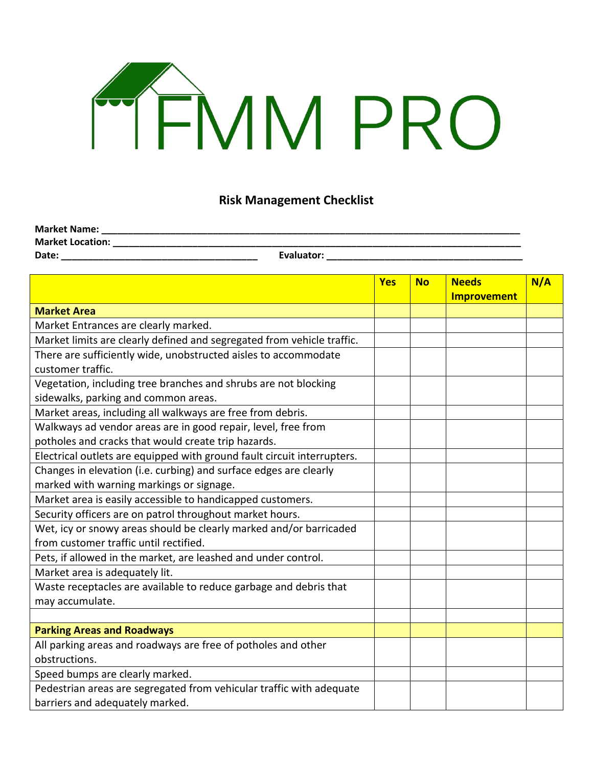## **FRAMPRO**

## **Risk Management Checklist**

| <b>Market Name:</b>     |            |
|-------------------------|------------|
| <b>Market Location:</b> |            |
| Date:                   | Evaluator: |

|                                                                         | <b>Yes</b> | <b>No</b> | <b>Needs</b>       | N/A |
|-------------------------------------------------------------------------|------------|-----------|--------------------|-----|
|                                                                         |            |           | <b>Improvement</b> |     |
| <b>Market Area</b>                                                      |            |           |                    |     |
| Market Entrances are clearly marked.                                    |            |           |                    |     |
| Market limits are clearly defined and segregated from vehicle traffic.  |            |           |                    |     |
| There are sufficiently wide, unobstructed aisles to accommodate         |            |           |                    |     |
| customer traffic.                                                       |            |           |                    |     |
| Vegetation, including tree branches and shrubs are not blocking         |            |           |                    |     |
| sidewalks, parking and common areas.                                    |            |           |                    |     |
| Market areas, including all walkways are free from debris.              |            |           |                    |     |
| Walkways ad vendor areas are in good repair, level, free from           |            |           |                    |     |
| potholes and cracks that would create trip hazards.                     |            |           |                    |     |
| Electrical outlets are equipped with ground fault circuit interrupters. |            |           |                    |     |
| Changes in elevation (i.e. curbing) and surface edges are clearly       |            |           |                    |     |
| marked with warning markings or signage.                                |            |           |                    |     |
| Market area is easily accessible to handicapped customers.              |            |           |                    |     |
| Security officers are on patrol throughout market hours.                |            |           |                    |     |
| Wet, icy or snowy areas should be clearly marked and/or barricaded      |            |           |                    |     |
| from customer traffic until rectified.                                  |            |           |                    |     |
| Pets, if allowed in the market, are leashed and under control.          |            |           |                    |     |
| Market area is adequately lit.                                          |            |           |                    |     |
| Waste receptacles are available to reduce garbage and debris that       |            |           |                    |     |
| may accumulate.                                                         |            |           |                    |     |
|                                                                         |            |           |                    |     |
| <b>Parking Areas and Roadways</b>                                       |            |           |                    |     |
| All parking areas and roadways are free of potholes and other           |            |           |                    |     |
| obstructions.                                                           |            |           |                    |     |
| Speed bumps are clearly marked.                                         |            |           |                    |     |
| Pedestrian areas are segregated from vehicular traffic with adequate    |            |           |                    |     |
| barriers and adequately marked.                                         |            |           |                    |     |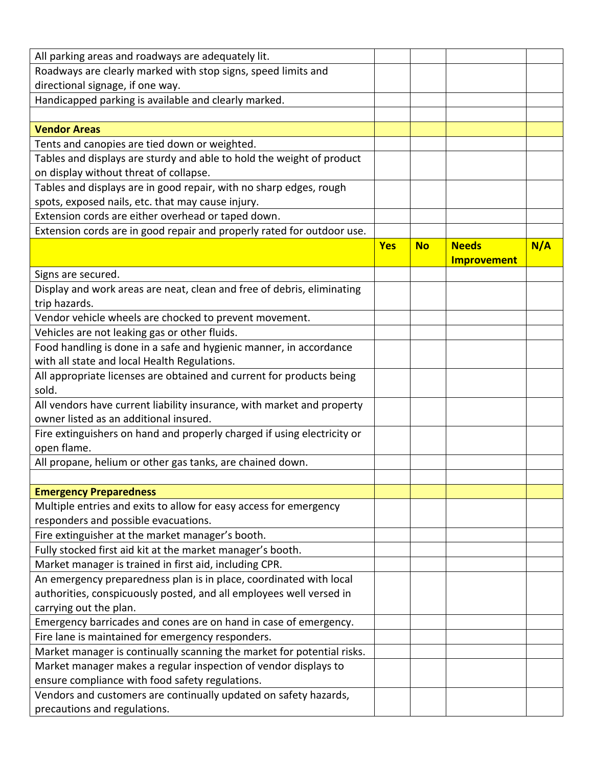| All parking areas and roadways are adequately lit.                                                        |            |           |                    |     |
|-----------------------------------------------------------------------------------------------------------|------------|-----------|--------------------|-----|
| Roadways are clearly marked with stop signs, speed limits and                                             |            |           |                    |     |
| directional signage, if one way.                                                                          |            |           |                    |     |
| Handicapped parking is available and clearly marked.                                                      |            |           |                    |     |
|                                                                                                           |            |           |                    |     |
| <b>Vendor Areas</b>                                                                                       |            |           |                    |     |
| Tents and canopies are tied down or weighted.                                                             |            |           |                    |     |
| Tables and displays are sturdy and able to hold the weight of product                                     |            |           |                    |     |
| on display without threat of collapse.                                                                    |            |           |                    |     |
| Tables and displays are in good repair, with no sharp edges, rough                                        |            |           |                    |     |
| spots, exposed nails, etc. that may cause injury.                                                         |            |           |                    |     |
| Extension cords are either overhead or taped down.                                                        |            |           |                    |     |
| Extension cords are in good repair and properly rated for outdoor use.                                    |            |           |                    |     |
|                                                                                                           | <b>Yes</b> | <b>No</b> | <b>Needs</b>       | N/A |
|                                                                                                           |            |           | <b>Improvement</b> |     |
| Signs are secured.                                                                                        |            |           |                    |     |
| Display and work areas are neat, clean and free of debris, eliminating                                    |            |           |                    |     |
| trip hazards.                                                                                             |            |           |                    |     |
| Vendor vehicle wheels are chocked to prevent movement.                                                    |            |           |                    |     |
| Vehicles are not leaking gas or other fluids.                                                             |            |           |                    |     |
| Food handling is done in a safe and hygienic manner, in accordance                                        |            |           |                    |     |
| with all state and local Health Regulations.                                                              |            |           |                    |     |
| All appropriate licenses are obtained and current for products being                                      |            |           |                    |     |
| sold.                                                                                                     |            |           |                    |     |
| All vendors have current liability insurance, with market and property                                    |            |           |                    |     |
| owner listed as an additional insured.                                                                    |            |           |                    |     |
| Fire extinguishers on hand and properly charged if using electricity or                                   |            |           |                    |     |
| open flame.                                                                                               |            |           |                    |     |
| All propane, helium or other gas tanks, are chained down.                                                 |            |           |                    |     |
|                                                                                                           |            |           |                    |     |
| <b>Emergency Preparedness</b>                                                                             |            |           |                    |     |
| Multiple entries and exits to allow for easy access for emergency<br>responders and possible evacuations. |            |           |                    |     |
| Fire extinguisher at the market manager's booth.                                                          |            |           |                    |     |
| Fully stocked first aid kit at the market manager's booth.                                                |            |           |                    |     |
| Market manager is trained in first aid, including CPR.                                                    |            |           |                    |     |
| An emergency preparedness plan is in place, coordinated with local                                        |            |           |                    |     |
| authorities, conspicuously posted, and all employees well versed in                                       |            |           |                    |     |
| carrying out the plan.                                                                                    |            |           |                    |     |
| Emergency barricades and cones are on hand in case of emergency.                                          |            |           |                    |     |
| Fire lane is maintained for emergency responders.                                                         |            |           |                    |     |
| Market manager is continually scanning the market for potential risks.                                    |            |           |                    |     |
| Market manager makes a regular inspection of vendor displays to                                           |            |           |                    |     |
| ensure compliance with food safety regulations.                                                           |            |           |                    |     |
| Vendors and customers are continually updated on safety hazards,                                          |            |           |                    |     |
| precautions and regulations.                                                                              |            |           |                    |     |